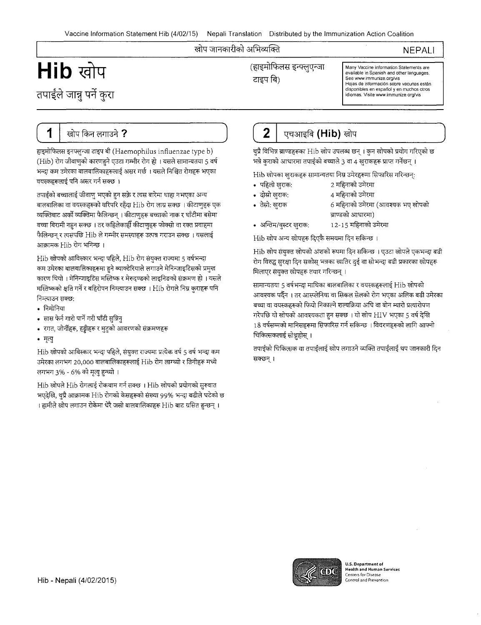### खोप जानकारीको अभिव्यक्ति

# NEPALI

# ENIC COU COLORELLA CELEE THE SPANISH CHARGE IN THE SPANISH AND VACCINE Information Statements are **Archive in Spanish and other languages.**<br>The see www.immunize.org/vis तपाईले जान्नु पर्ने कुरा

See www.immunize.org/vis Jes mominimanizatorgana<br>Hojas de información sobre vacunas están disponibles en espariol y en muches otros ldiomas. Visite www.immunize.org/vis

# ( 1 J

हाइमोफिलस इनफ्लुन्जा टाइप बी (Haemophilus influenzae type b) (Hib) रोग जीवाणुको कारणहने एउटा गम्भीर रोग हो । यसले सामान्यतया 5 वर्ष भन्दा कम उमेरका बालबालिकाहरूलाई असर गर्छ । यसले निश्चित रोगहरू भएका वयस्कहरूलाई पनि असर गर्न सक्छ ।

तपाईंको बच्चालाई जीवाणु भएको हुन सक्ने र त्यस बारेमा थाहा नभएका अन्य बालबालिका वा वयस्कहरूको वरिपरि रहँदा Hib रोग लाग्न सक्छ । कीटाणुहरू एक व्यक्तिबाट अर्को व्यक्तिमा फैलिन्छन् । कीटाणुहरू बच्चाको नाक र घाँटीमा बसेमा बच्चा बिरामी नहन सक्छ । तर कहिलेकाहीँ कीटाणुहरू फोक्सो वा रक्त प्रवाहमा .<br>फैलिन्छन र त्यसपछि Hib ले गम्भीर समस्याहरू उत्पन्न गराउन सक्छ । यसलाई आक्रामक Hib रोग भनिन्छ ।

Hib खोपको आविस्कार भन्दा पहिले, Hib रोग संयुक्त राज्यमा 5 वर्षभन्दा कम उमेरका बालबालिकाहरूमा हुने ब्याक्टेरियाले लगाउने मेनिन्जाइटिसको प्रमुख कारण थियो । मेनिन्जाइटिस मस्तिष्क र मेरुदण्डको लाइनिङको संक्रमण हो । यसले मस्तिष्कको क्षति गर्ने र बहिरोपन निम्त्याउन सक्छ । Hib रोगले निम्न <u>कु</u>राहरू पनि निम्त्याउन सक्छ:<br>• निमोनिया

- 
- निमोनिया<br>• सास फेर्न गारो पार्ने गरी घाँटी सुन्निनु
- रगत, जोर्नीहरू, हड्डीहरू र मुटुको आवरणको संक्रमणहरू<br>• मृत्यु
- 

Hib खोपको आविस्कार भन्दा पहिले, संयुक्त राज्यमा प्रत्येक वर्ष 5 वर्ष भन्दा कम उमेरका लगभग 20,000 बालबालिकाहरूलाई Hib रोग लाग्थ्यो र तिनीहरू मध्ये लगभग 3% - 6% को मृत्यु हुन्थ्यो ।

Hib खोपले Hib रोगलाई रोकथाम गर्न सक्छ । Hib खोपको प्रयोगको सुरुवात भएदेखि, थुप्रै आक्रामक Hib रोगको केसहरूको संख्या 99% भन्दा बढीले घटेको छ I हामीले खोप लगाउन रोकेमा धेरै जसो बालबालिकाहरू Hib बाट ग्रसित हुन्छन् ।

**(\_2\_\_\_\_,\_\_\_~\_~\_(H\_ib\_)**\_m-cr\_\_\_\_\_\_,J ~~ ~10-s~,t,ihl Hib @11~W<l I ¥~w:rri-p1ft~u भन्ने कुराको आधारमा तपाईको बच्चाले 3 वा 4 खुराकहरू प्राप्त गर्नेछन् ।

भन्न कुराका आधारमा तपाइका बच्चाल 3 वा 4 खुराकहरू प्राप्त गनछन् ।<br>Hib खोपका खुराकहरू सामान्यतया निम्न उमेरहरूमा सिफारिस गरिन्छन्: • ~: 2 '31'Ri:rr

- 
- <sup>~</sup>~: 4 '31'Ri:rr
- 
- 6 महिनाको उमेरमा (आवश्यक भए खोपको ब्राण्डको आधारमा)
- अन्तिम/बुस्टर खुराक: 12-15 महिनाको उमेरमा

Hib खोप अन्य खोपहरू दिएकै समयमा दिन सकिन्छ ।

Hib खोप संयुक्त खोपको अंशको रूपमा दिन सकिन्छ । एउटा खोपले एकभन्दा बढी रोग विरुद्ध सुरक्षा दिन सकोस् भन्नका खातिर दुई वा सोभन्दा बढी प्रकारका खोपहरू मिलाएर संयुक्त खोपहरू तयार गरिन्छन् ।

सामान्यतया 5 वर्षभन्दा माथिका बालबालिका र वयस्कहरूलाई Hib खोपको सामान्यतया 5 वर्षभन्दा माायका बालबाालका र वयस्कहरूलाइ H1b खापका<br>आवश्यक पर्दैन । तर आस्प्लेनिया वा सिकल सेलको रोग भएका अलिक बढी उमेरका<br>बच्चा वा वयस्कहरूको फियो निकाल्ने शल्यक्रिया अघि वा बोन म्यारो प्रत्यारोपण बच्चा वा वयस्कहरूको फियो निकाल्ने शल्यक्रिया अघि वा बोन म्यारो प्रत्यारोपण<br>गरेपछि यो खोपको आवश्यकता हन सक्छ । यो खोप HIV भएका 5 वर्ष देखि  $18$  वर्षसम्मको मानिसहरूमा सिफारिस गर्न सकिन्छ । विवरणहरूको लागि आफ्नो चिकित्सकलाई सोध्नहोस् ।

तपाईंको चिकित्सक वा तपाईंलाई खोप लगाउने व्यक्ति तपाईंलाई थप जानकारी दिन सक्छन् ।



U.S. Department of Health and Human Services Centers for Diseas~ Control and Prevention